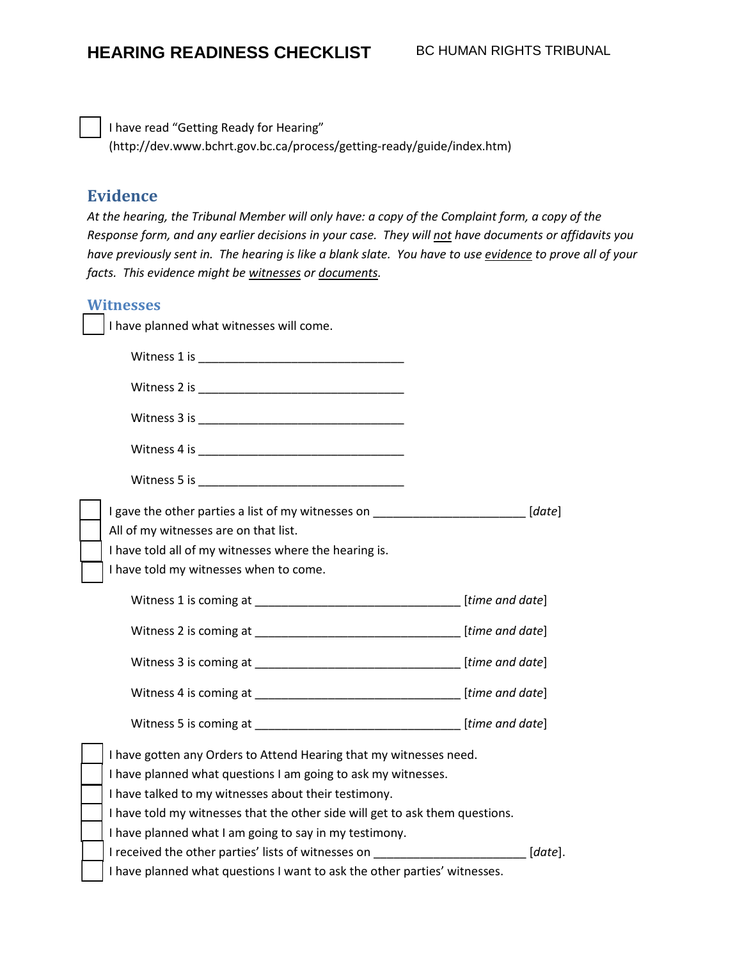I have read "Getting Ready for Hearing" (http://dev.www.bchrt.gov.bc.ca/process/getting-ready/guide/index.htm)

## **Evidence**

*At the hearing, the Tribunal Member will only have: a copy of the Complaint form, a copy of the Response form, and any earlier decisions in your case. They will not have documents or affidavits you have previously sent in. The hearing is like a blank slate. You have to use [evidence](http://www.bchrt.bc.ca/glossary/index.htm#evidence) to prove all of your facts. This evidence might b[e witnesses](http://www.bchrt.bc.ca/glossary/index.htm#witness) or [documents.](http://www.bchrt.bc.ca/glossary/index.htm#document)* 

#### **Witnesses**

I have planned what witnesses will come.

| I gave the other parties a list of my witnesses on ____________________________[date] |         |  |
|---------------------------------------------------------------------------------------|---------|--|
| All of my witnesses are on that list.                                                 |         |  |
| I have told all of my witnesses where the hearing is.                                 |         |  |
| I have told my witnesses when to come.                                                |         |  |
|                                                                                       |         |  |
|                                                                                       |         |  |
|                                                                                       |         |  |
|                                                                                       |         |  |
|                                                                                       |         |  |
| I have gotten any Orders to Attend Hearing that my witnesses need.                    |         |  |
| I have planned what questions I am going to ask my witnesses.                         |         |  |
| I have talked to my witnesses about their testimony.                                  |         |  |
| I have told my witnesses that the other side will get to ask them questions.          |         |  |
| I have planned what I am going to say in my testimony.                                |         |  |
| I received the other parties' lists of witnesses on                                   | [date]. |  |
| I have planned what questions I want to ask the other parties' witnesses.             |         |  |